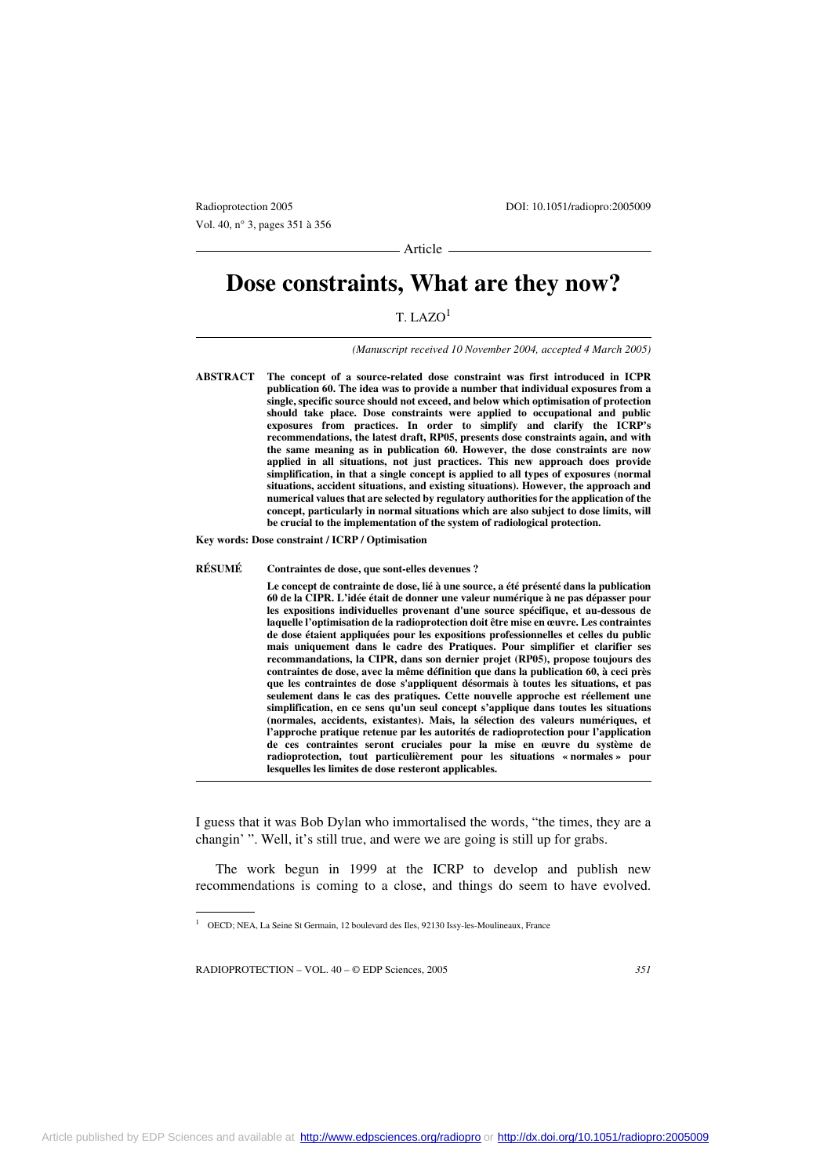Vol. 40, n° 3, pages 351 à 356

Radioprotection 2005 DOI: 10.1051/radiopro:2005009

- Article -

# **Dose constraints, What are they now?**

# T. LAZO1

*(Manuscript received 10 November 2004, accepted 4 March 2005)*

**ABSTRACT The concept of a source-related dose constraint was first introduced in ICPR publication 60. The idea was to provide a number that individual exposures from a single, specific source should not exceed, and below which optimisation of protection should take place. Dose constraints were applied to occupational and public exposures from practices. In order to simplify and clarify the ICRP's recommendations, the latest draft, RP05, presents dose constraints again, and with the same meaning as in publication 60. However, the dose constraints are now applied in all situations, not just practices. This new approach does provide simplification, in that a single concept is applied to all types of exposures (normal situations, accident situations, and existing situations). However, the approach and numerical values that are selected by regulatory authorities for the application of the concept, particularly in normal situations which are also subject to dose limits, will be crucial to the implementation of the system of radiological protection.**

**Key words: Dose constraint / ICRP / Optimisation**

**RÉSUMÉ Contraintes de dose, que sont-elles devenues ?**

**Le concept de contrainte de dose, lié à une source, a été présenté dans la publication 60 de la CIPR. L'idée était de donner une valeur numérique à ne pas dépasser pour les expositions individuelles provenant d'une source spécifique, et au-dessous de laquelle l'optimisation de la radioprotection doit être mise en œuvre. Les contraintes de dose étaient appliquées pour les expositions professionnelles et celles du public mais uniquement dans le cadre des Pratiques. Pour simplifier et clarifier ses recommandations, la CIPR, dans son dernier projet (RP05), propose toujours des contraintes de dose, avec la même définition que dans la publication 60, à ceci près que les contraintes de dose s'appliquent désormais à toutes les situations, et pas seulement dans le cas des pratiques. Cette nouvelle approche est réellement une simplification, en ce sens qu'un seul concept s'applique dans toutes les situations (normales, accidents, existantes). Mais, la sélection des valeurs numériques, et l'approche pratique retenue par les autorités de radioprotection pour l'application de ces contraintes seront cruciales pour la mise en œuvre du système de radioprotection, tout particulièrement pour les situations « normales » pour lesquelles les limites de dose resteront applicables.**

I guess that it was Bob Dylan who immortalised the words, "the times, they are a changin' ". Well, it's still true, and were we are going is still up for grabs.

The work begun in 1999 at the ICRP to develop and publish new recommendations is coming to a close, and things do seem to have evolved.

<sup>1</sup> OECD; NEA, La Seine St Germain, 12 boulevard des Iles, 92130 Issy-les-Moulineaux, France

RADIOPROTECTION – VOL. 40 – © EDP Sciences, 2005 *351*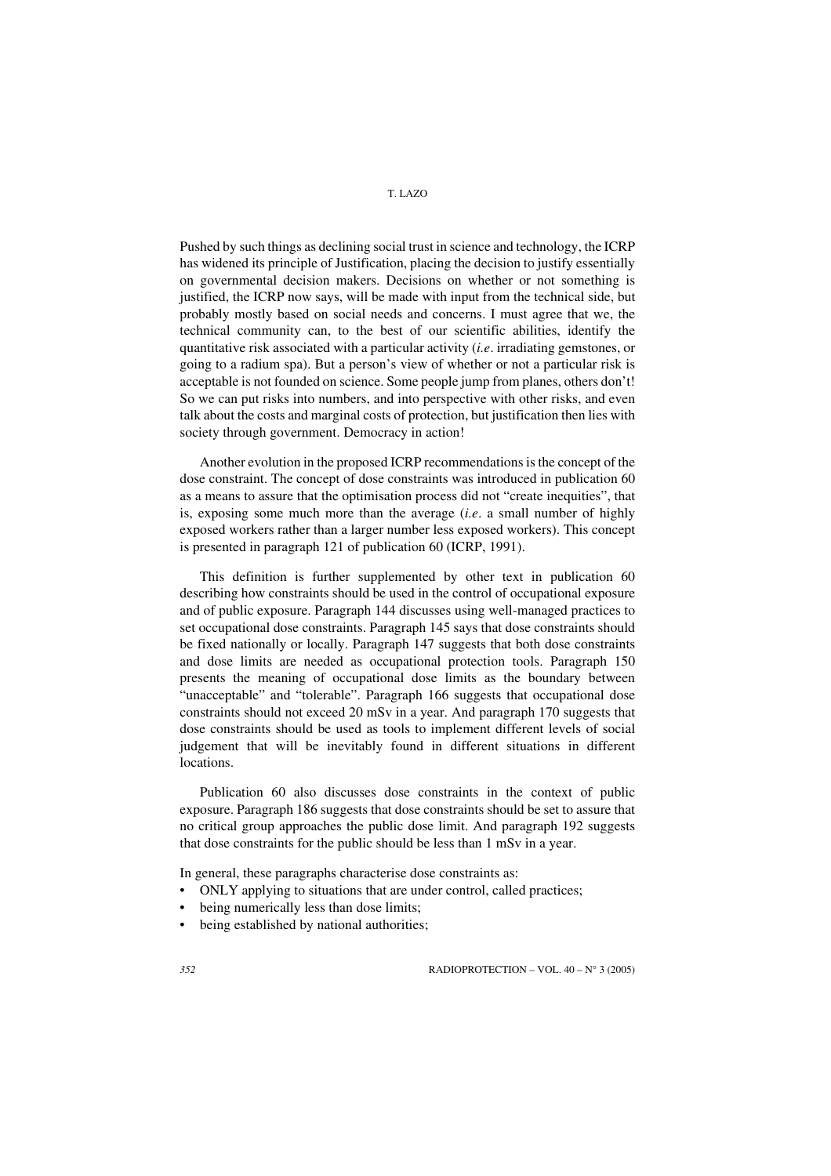## T. LAZO

Pushed by such things as declining social trust in science and technology, the ICRP has widened its principle of Justification, placing the decision to justify essentially on governmental decision makers. Decisions on whether or not something is justified, the ICRP now says, will be made with input from the technical side, but probably mostly based on social needs and concerns. I must agree that we, the technical community can, to the best of our scientific abilities, identify the quantitative risk associated with a particular activity (*i.e*. irradiating gemstones, or going to a radium spa). But a person's view of whether or not a particular risk is acceptable is not founded on science. Some people jump from planes, others don't! So we can put risks into numbers, and into perspective with other risks, and even talk about the costs and marginal costs of protection, but justification then lies with society through government. Democracy in action!

Another evolution in the proposed ICRP recommendations is the concept of the dose constraint. The concept of dose constraints was introduced in publication 60 as a means to assure that the optimisation process did not "create inequities", that is, exposing some much more than the average (*i.e*. a small number of highly exposed workers rather than a larger number less exposed workers). This concept is presented in paragraph 121 of publication 60 (ICRP, 1991).

This definition is further supplemented by other text in publication 60 describing how constraints should be used in the control of occupational exposure and of public exposure. Paragraph 144 discusses using well-managed practices to set occupational dose constraints. Paragraph 145 says that dose constraints should be fixed nationally or locally. Paragraph 147 suggests that both dose constraints and dose limits are needed as occupational protection tools. Paragraph 150 presents the meaning of occupational dose limits as the boundary between "unacceptable" and "tolerable". Paragraph 166 suggests that occupational dose constraints should not exceed 20 mSv in a year. And paragraph 170 suggests that dose constraints should be used as tools to implement different levels of social judgement that will be inevitably found in different situations in different locations.

Publication 60 also discusses dose constraints in the context of public exposure. Paragraph 186 suggests that dose constraints should be set to assure that no critical group approaches the public dose limit. And paragraph 192 suggests that dose constraints for the public should be less than 1 mSv in a year.

In general, these paragraphs characterise dose constraints as:

- ONLY applying to situations that are under control, called practices;
- being numerically less than dose limits;
- being established by national authorities;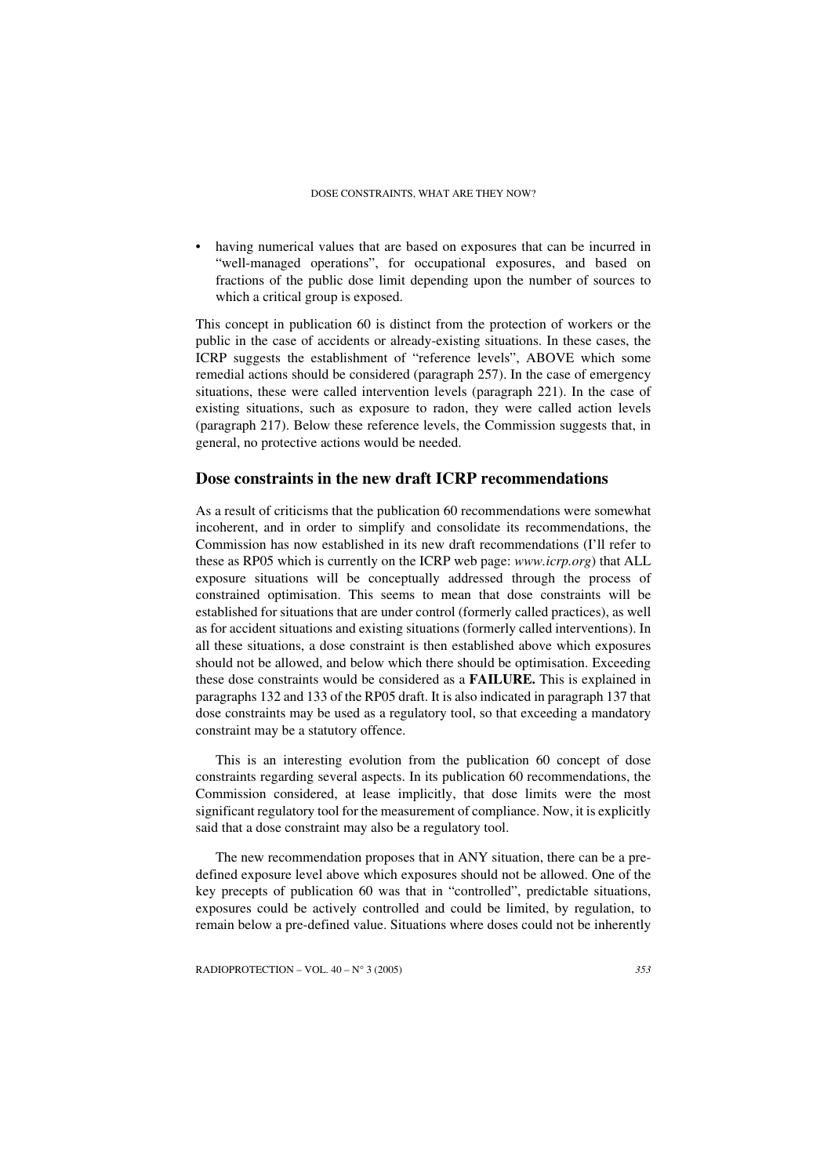#### DOSE CONSTRAINTS, WHAT ARE THEY NOW?

• having numerical values that are based on exposures that can be incurred in "well-managed operations", for occupational exposures, and based on fractions of the public dose limit depending upon the number of sources to which a critical group is exposed.

This concept in publication 60 is distinct from the protection of workers or the public in the case of accidents or already-existing situations. In these cases, the ICRP suggests the establishment of "reference levels", ABOVE which some remedial actions should be considered (paragraph 257). In the case of emergency situations, these were called intervention levels (paragraph 221). In the case of existing situations, such as exposure to radon, they were called action levels (paragraph 217). Below these reference levels, the Commission suggests that, in general, no protective actions would be needed.

### **Dose constraints in the new draft ICRP recommendations**

As a result of criticisms that the publication 60 recommendations were somewhat incoherent, and in order to simplify and consolidate its recommendations, the Commission has now established in its new draft recommendations (I'll refer to these as RP05 which is currently on the ICRP web page: *www.icrp.org*) that ALL exposure situations will be conceptually addressed through the process of constrained optimisation. This seems to mean that dose constraints will be established for situations that are under control (formerly called practices), as well as for accident situations and existing situations (formerly called interventions). In all these situations, a dose constraint is then established above which exposures should not be allowed, and below which there should be optimisation. Exceeding these dose constraints would be considered as a **FAILURE.** This is explained in paragraphs 132 and 133 of the RP05 draft. It is also indicated in paragraph 137 that dose constraints may be used as a regulatory tool, so that exceeding a mandatory constraint may be a statutory offence.

This is an interesting evolution from the publication 60 concept of dose constraints regarding several aspects. In its publication 60 recommendations, the Commission considered, at lease implicitly, that dose limits were the most significant regulatory tool for the measurement of compliance. Now, it is explicitly said that a dose constraint may also be a regulatory tool.

The new recommendation proposes that in ANY situation, there can be a predefined exposure level above which exposures should not be allowed. One of the key precepts of publication 60 was that in "controlled", predictable situations, exposures could be actively controlled and could be limited, by regulation, to remain below a pre-defined value. Situations where doses could not be inherently

RADIOPROTECTION – VOL. 40 – N° 3 (2005) *353*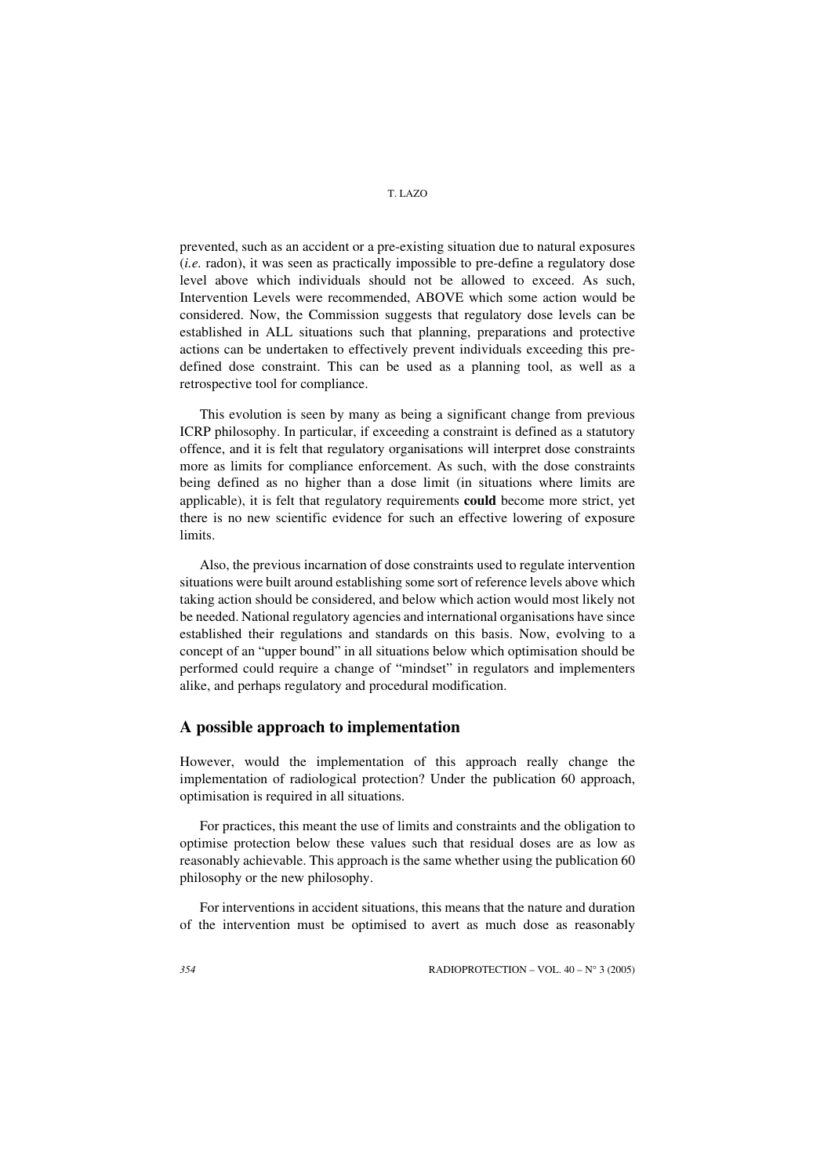prevented, such as an accident or a pre-existing situation due to natural exposures (*i.e.* radon), it was seen as practically impossible to pre-define a regulatory dose level above which individuals should not be allowed to exceed. As such, Intervention Levels were recommended, ABOVE which some action would be considered. Now, the Commission suggests that regulatory dose levels can be established in ALL situations such that planning, preparations and protective actions can be undertaken to effectively prevent individuals exceeding this predefined dose constraint. This can be used as a planning tool, as well as a retrospective tool for compliance.

This evolution is seen by many as being a significant change from previous ICRP philosophy. In particular, if exceeding a constraint is defined as a statutory offence, and it is felt that regulatory organisations will interpret dose constraints more as limits for compliance enforcement. As such, with the dose constraints being defined as no higher than a dose limit (in situations where limits are applicable), it is felt that regulatory requirements **could** become more strict, yet there is no new scientific evidence for such an effective lowering of exposure limits.

Also, the previous incarnation of dose constraints used to regulate intervention situations were built around establishing some sort of reference levels above which taking action should be considered, and below which action would most likely not be needed. National regulatory agencies and international organisations have since established their regulations and standards on this basis. Now, evolving to a concept of an "upper bound" in all situations below which optimisation should be performed could require a change of "mindset" in regulators and implementers alike, and perhaps regulatory and procedural modification.

## **A possible approach to implementation**

However, would the implementation of this approach really change the implementation of radiological protection? Under the publication 60 approach, optimisation is required in all situations.

For practices, this meant the use of limits and constraints and the obligation to optimise protection below these values such that residual doses are as low as reasonably achievable. This approach is the same whether using the publication 60 philosophy or the new philosophy.

For interventions in accident situations, this means that the nature and duration of the intervention must be optimised to avert as much dose as reasonably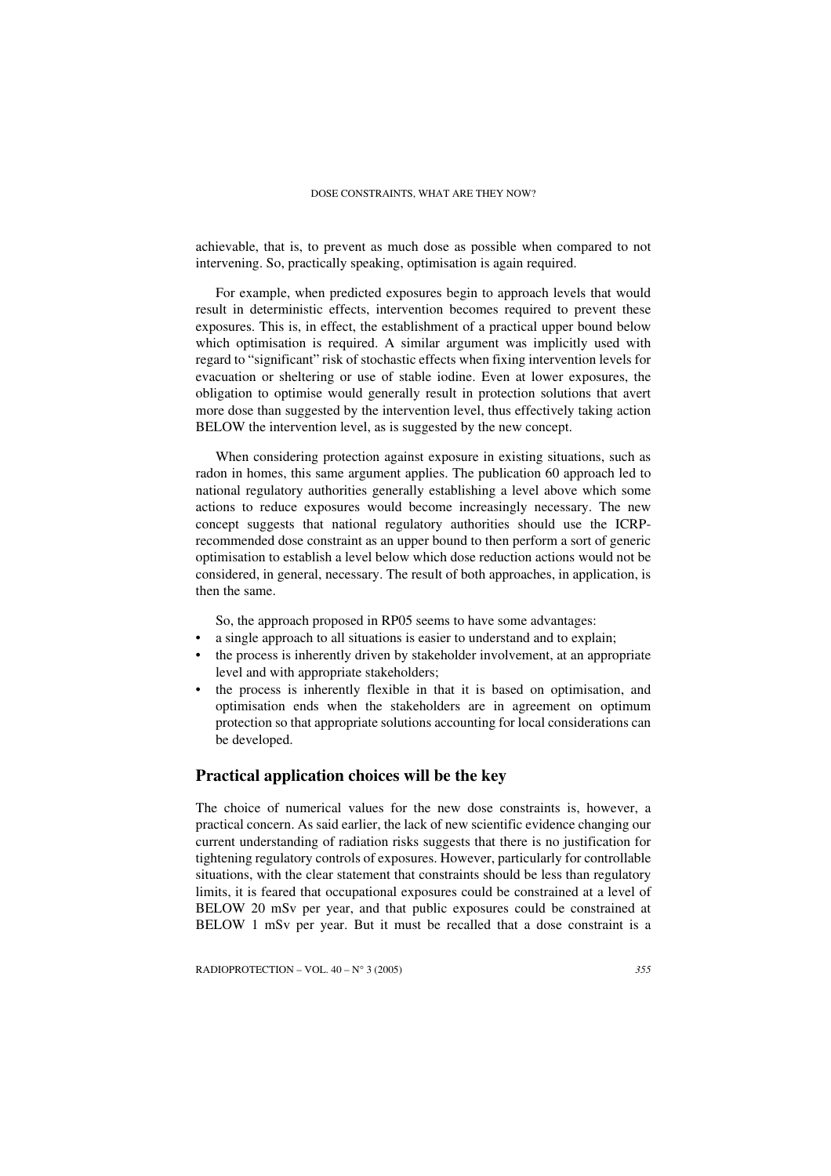#### DOSE CONSTRAINTS, WHAT ARE THEY NOW?

achievable, that is, to prevent as much dose as possible when compared to not intervening. So, practically speaking, optimisation is again required.

For example, when predicted exposures begin to approach levels that would result in deterministic effects, intervention becomes required to prevent these exposures. This is, in effect, the establishment of a practical upper bound below which optimisation is required. A similar argument was implicitly used with regard to "significant" risk of stochastic effects when fixing intervention levels for evacuation or sheltering or use of stable iodine. Even at lower exposures, the obligation to optimise would generally result in protection solutions that avert more dose than suggested by the intervention level, thus effectively taking action BELOW the intervention level, as is suggested by the new concept.

When considering protection against exposure in existing situations, such as radon in homes, this same argument applies. The publication 60 approach led to national regulatory authorities generally establishing a level above which some actions to reduce exposures would become increasingly necessary. The new concept suggests that national regulatory authorities should use the ICRPrecommended dose constraint as an upper bound to then perform a sort of generic optimisation to establish a level below which dose reduction actions would not be considered, in general, necessary. The result of both approaches, in application, is then the same.

So, the approach proposed in RP05 seems to have some advantages:

- a single approach to all situations is easier to understand and to explain;
- the process is inherently driven by stakeholder involvement, at an appropriate level and with appropriate stakeholders;
- the process is inherently flexible in that it is based on optimisation, and optimisation ends when the stakeholders are in agreement on optimum protection so that appropriate solutions accounting for local considerations can be developed.

## **Practical application choices will be the key**

The choice of numerical values for the new dose constraints is, however, a practical concern. As said earlier, the lack of new scientific evidence changing our current understanding of radiation risks suggests that there is no justification for tightening regulatory controls of exposures. However, particularly for controllable situations, with the clear statement that constraints should be less than regulatory limits, it is feared that occupational exposures could be constrained at a level of BELOW 20 mSv per year, and that public exposures could be constrained at BELOW 1 mSv per year. But it must be recalled that a dose constraint is a

RADIOPROTECTION – VOL. 40 – N° 3 (2005) *355*